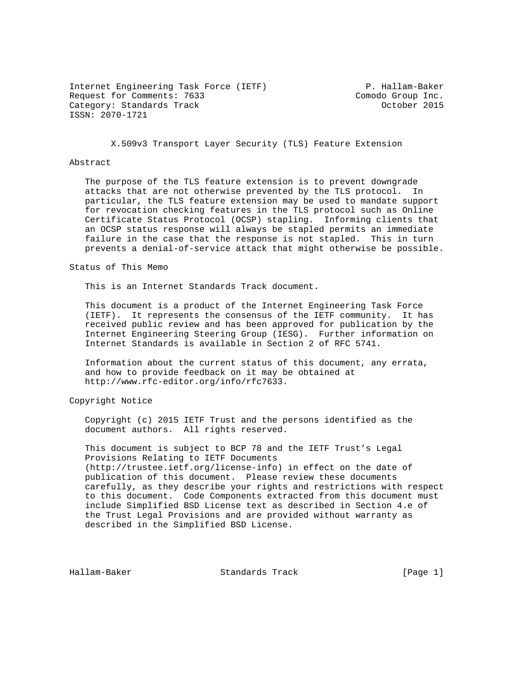Internet Engineering Task Force (IETF) P. Hallam-Baker Request for Comments: 7633 Comodo Group Inc. Category: Standards Track Category: Standards Track ISSN: 2070-1721

X.509v3 Transport Layer Security (TLS) Feature Extension

## Abstract

 The purpose of the TLS feature extension is to prevent downgrade attacks that are not otherwise prevented by the TLS protocol. In particular, the TLS feature extension may be used to mandate support for revocation checking features in the TLS protocol such as Online Certificate Status Protocol (OCSP) stapling. Informing clients that an OCSP status response will always be stapled permits an immediate failure in the case that the response is not stapled. This in turn prevents a denial-of-service attack that might otherwise be possible.

## Status of This Memo

This is an Internet Standards Track document.

 This document is a product of the Internet Engineering Task Force (IETF). It represents the consensus of the IETF community. It has received public review and has been approved for publication by the Internet Engineering Steering Group (IESG). Further information on Internet Standards is available in Section 2 of RFC 5741.

 Information about the current status of this document, any errata, and how to provide feedback on it may be obtained at http://www.rfc-editor.org/info/rfc7633.

# Copyright Notice

 Copyright (c) 2015 IETF Trust and the persons identified as the document authors. All rights reserved.

 This document is subject to BCP 78 and the IETF Trust's Legal Provisions Relating to IETF Documents (http://trustee.ietf.org/license-info) in effect on the date of publication of this document. Please review these documents carefully, as they describe your rights and restrictions with respect to this document. Code Components extracted from this document must include Simplified BSD License text as described in Section 4.e of the Trust Legal Provisions and are provided without warranty as described in the Simplified BSD License.

Hallam-Baker Standards Track [Page 1]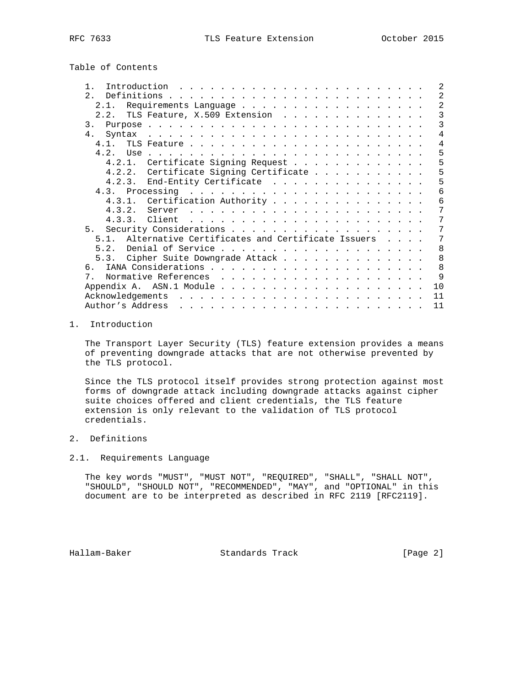Table of Contents

| $\mathcal{L}$                                                                                                                                                                                                                       |
|-------------------------------------------------------------------------------------------------------------------------------------------------------------------------------------------------------------------------------------|
| 2                                                                                                                                                                                                                                   |
| 2                                                                                                                                                                                                                                   |
| $\overline{3}$<br>TLS Feature, X.509 Extension                                                                                                                                                                                      |
| 3                                                                                                                                                                                                                                   |
| 4                                                                                                                                                                                                                                   |
| $\overline{4}$                                                                                                                                                                                                                      |
| 5                                                                                                                                                                                                                                   |
| 5<br>Certificate Signing Request                                                                                                                                                                                                    |
| 5<br>4.2.2. Certificate Signing Certificate                                                                                                                                                                                         |
| 5<br>4.2.3. End-Entity Certificate                                                                                                                                                                                                  |
| 6                                                                                                                                                                                                                                   |
| 4.3.1. Certification Authority<br>6                                                                                                                                                                                                 |
| 7                                                                                                                                                                                                                                   |
| 7<br>and the contract of the contract of the contract of the contract of the contract of the contract of the contract of the contract of the contract of the contract of the contract of the contract of the contract of the contra |
| 7                                                                                                                                                                                                                                   |
| Alternative Certificates and Certificate Issuers<br>7                                                                                                                                                                               |
| 8                                                                                                                                                                                                                                   |
| 8<br>5.3. Cipher Suite Downgrade Attack                                                                                                                                                                                             |
| 8                                                                                                                                                                                                                                   |
| 9                                                                                                                                                                                                                                   |
| 10                                                                                                                                                                                                                                  |
| 11                                                                                                                                                                                                                                  |
|                                                                                                                                                                                                                                     |
|                                                                                                                                                                                                                                     |

# 1. Introduction

 The Transport Layer Security (TLS) feature extension provides a means of preventing downgrade attacks that are not otherwise prevented by the TLS protocol.

 Since the TLS protocol itself provides strong protection against most forms of downgrade attack including downgrade attacks against cipher suite choices offered and client credentials, the TLS feature extension is only relevant to the validation of TLS protocol credentials.

# 2. Definitions

# 2.1. Requirements Language

 The key words "MUST", "MUST NOT", "REQUIRED", "SHALL", "SHALL NOT", "SHOULD", "SHOULD NOT", "RECOMMENDED", "MAY", and "OPTIONAL" in this document are to be interpreted as described in RFC 2119 [RFC2119].

Hallam-Baker Standards Track [Page 2]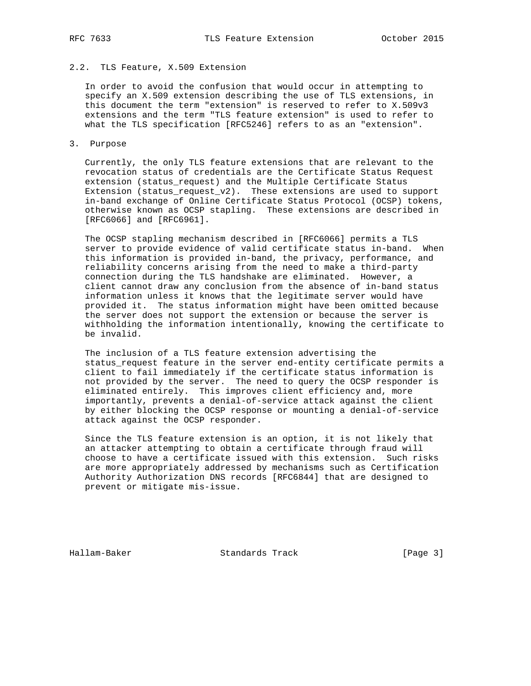# 2.2. TLS Feature, X.509 Extension

 In order to avoid the confusion that would occur in attempting to specify an X.509 extension describing the use of TLS extensions, in this document the term "extension" is reserved to refer to X.509v3 extensions and the term "TLS feature extension" is used to refer to what the TLS specification [RFC5246] refers to as an "extension".

3. Purpose

 Currently, the only TLS feature extensions that are relevant to the revocation status of credentials are the Certificate Status Request extension (status\_request) and the Multiple Certificate Status Extension (status\_request\_v2). These extensions are used to support in-band exchange of Online Certificate Status Protocol (OCSP) tokens, otherwise known as OCSP stapling. These extensions are described in [RFC6066] and [RFC6961].

 The OCSP stapling mechanism described in [RFC6066] permits a TLS server to provide evidence of valid certificate status in-band. When this information is provided in-band, the privacy, performance, and reliability concerns arising from the need to make a third-party connection during the TLS handshake are eliminated. However, a client cannot draw any conclusion from the absence of in-band status information unless it knows that the legitimate server would have provided it. The status information might have been omitted because the server does not support the extension or because the server is withholding the information intentionally, knowing the certificate to be invalid.

 The inclusion of a TLS feature extension advertising the status\_request feature in the server end-entity certificate permits a client to fail immediately if the certificate status information is not provided by the server. The need to query the OCSP responder is eliminated entirely. This improves client efficiency and, more importantly, prevents a denial-of-service attack against the client by either blocking the OCSP response or mounting a denial-of-service attack against the OCSP responder.

 Since the TLS feature extension is an option, it is not likely that an attacker attempting to obtain a certificate through fraud will choose to have a certificate issued with this extension. Such risks are more appropriately addressed by mechanisms such as Certification Authority Authorization DNS records [RFC6844] that are designed to prevent or mitigate mis-issue.

Hallam-Baker Standards Track [Page 3]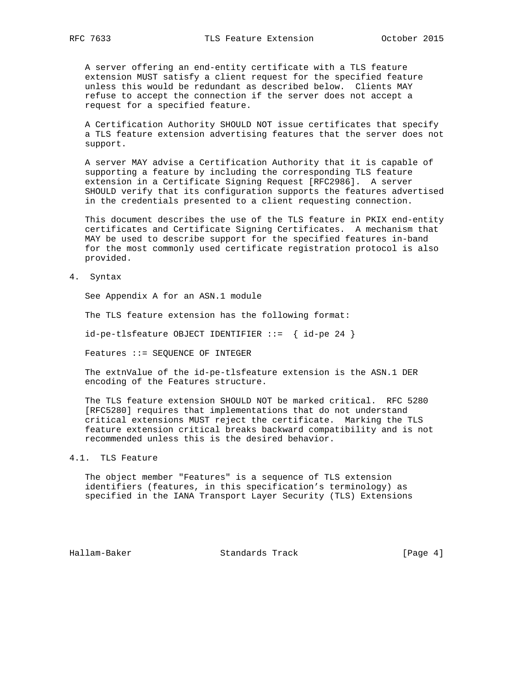A server offering an end-entity certificate with a TLS feature extension MUST satisfy a client request for the specified feature unless this would be redundant as described below. Clients MAY refuse to accept the connection if the server does not accept a request for a specified feature.

 A Certification Authority SHOULD NOT issue certificates that specify a TLS feature extension advertising features that the server does not support.

 A server MAY advise a Certification Authority that it is capable of supporting a feature by including the corresponding TLS feature extension in a Certificate Signing Request [RFC2986]. A server SHOULD verify that its configuration supports the features advertised in the credentials presented to a client requesting connection.

 This document describes the use of the TLS feature in PKIX end-entity certificates and Certificate Signing Certificates. A mechanism that MAY be used to describe support for the specified features in-band for the most commonly used certificate registration protocol is also provided.

4. Syntax

See Appendix A for an ASN.1 module

The TLS feature extension has the following format:

id-pe-tlsfeature OBJECT IDENTIFIER ::= { id-pe 24 }

Features ::= SEQUENCE OF INTEGER

 The extnValue of the id-pe-tlsfeature extension is the ASN.1 DER encoding of the Features structure.

 The TLS feature extension SHOULD NOT be marked critical. RFC 5280 [RFC5280] requires that implementations that do not understand critical extensions MUST reject the certificate. Marking the TLS feature extension critical breaks backward compatibility and is not recommended unless this is the desired behavior.

## 4.1. TLS Feature

 The object member "Features" is a sequence of TLS extension identifiers (features, in this specification's terminology) as specified in the IANA Transport Layer Security (TLS) Extensions

Hallam-Baker Standards Track [Page 4]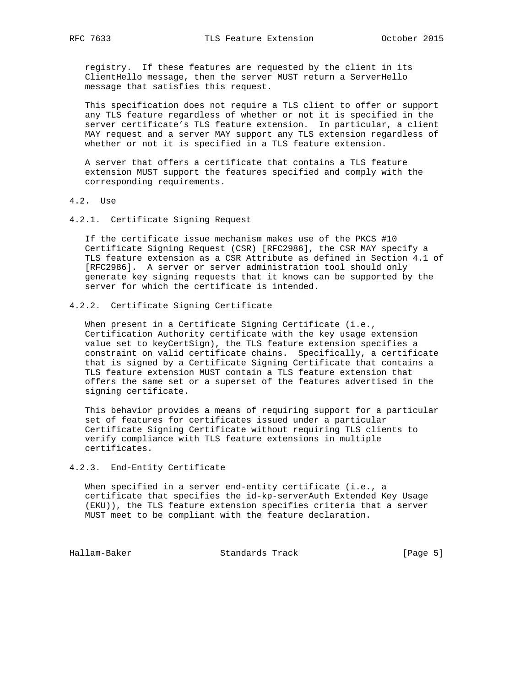registry. If these features are requested by the client in its ClientHello message, then the server MUST return a ServerHello message that satisfies this request.

 This specification does not require a TLS client to offer or support any TLS feature regardless of whether or not it is specified in the server certificate's TLS feature extension. In particular, a client MAY request and a server MAY support any TLS extension regardless of whether or not it is specified in a TLS feature extension.

 A server that offers a certificate that contains a TLS feature extension MUST support the features specified and comply with the corresponding requirements.

- 4.2. Use
- 4.2.1. Certificate Signing Request

 If the certificate issue mechanism makes use of the PKCS #10 Certificate Signing Request (CSR) [RFC2986], the CSR MAY specify a TLS feature extension as a CSR Attribute as defined in Section 4.1 of [RFC2986]. A server or server administration tool should only generate key signing requests that it knows can be supported by the server for which the certificate is intended.

# 4.2.2. Certificate Signing Certificate

When present in a Certificate Signing Certificate (i.e., Certification Authority certificate with the key usage extension value set to keyCertSign), the TLS feature extension specifies a constraint on valid certificate chains. Specifically, a certificate that is signed by a Certificate Signing Certificate that contains a TLS feature extension MUST contain a TLS feature extension that offers the same set or a superset of the features advertised in the signing certificate.

 This behavior provides a means of requiring support for a particular set of features for certificates issued under a particular Certificate Signing Certificate without requiring TLS clients to verify compliance with TLS feature extensions in multiple certificates.

## 4.2.3. End-Entity Certificate

 When specified in a server end-entity certificate (i.e., a certificate that specifies the id-kp-serverAuth Extended Key Usage (EKU)), the TLS feature extension specifies criteria that a server MUST meet to be compliant with the feature declaration.

Hallam-Baker Standards Track [Page 5]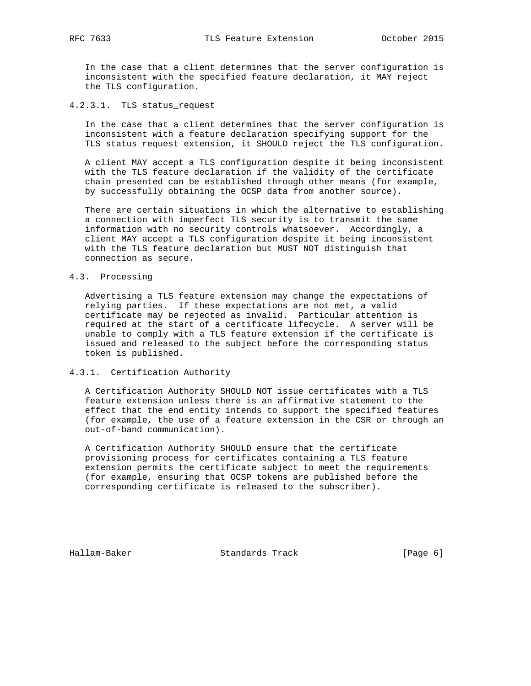In the case that a client determines that the server configuration is inconsistent with the specified feature declaration, it MAY reject the TLS configuration.

# 4.2.3.1. TLS status\_request

 In the case that a client determines that the server configuration is inconsistent with a feature declaration specifying support for the TLS status\_request extension, it SHOULD reject the TLS configuration.

 A client MAY accept a TLS configuration despite it being inconsistent with the TLS feature declaration if the validity of the certificate chain presented can be established through other means (for example, by successfully obtaining the OCSP data from another source).

 There are certain situations in which the alternative to establishing a connection with imperfect TLS security is to transmit the same information with no security controls whatsoever. Accordingly, a client MAY accept a TLS configuration despite it being inconsistent with the TLS feature declaration but MUST NOT distinguish that connection as secure.

## 4.3. Processing

 Advertising a TLS feature extension may change the expectations of relying parties. If these expectations are not met, a valid certificate may be rejected as invalid. Particular attention is required at the start of a certificate lifecycle. A server will be unable to comply with a TLS feature extension if the certificate is issued and released to the subject before the corresponding status token is published.

# 4.3.1. Certification Authority

 A Certification Authority SHOULD NOT issue certificates with a TLS feature extension unless there is an affirmative statement to the effect that the end entity intends to support the specified features (for example, the use of a feature extension in the CSR or through an out-of-band communication).

 A Certification Authority SHOULD ensure that the certificate provisioning process for certificates containing a TLS feature extension permits the certificate subject to meet the requirements (for example, ensuring that OCSP tokens are published before the corresponding certificate is released to the subscriber).

Hallam-Baker Standards Track [Page 6]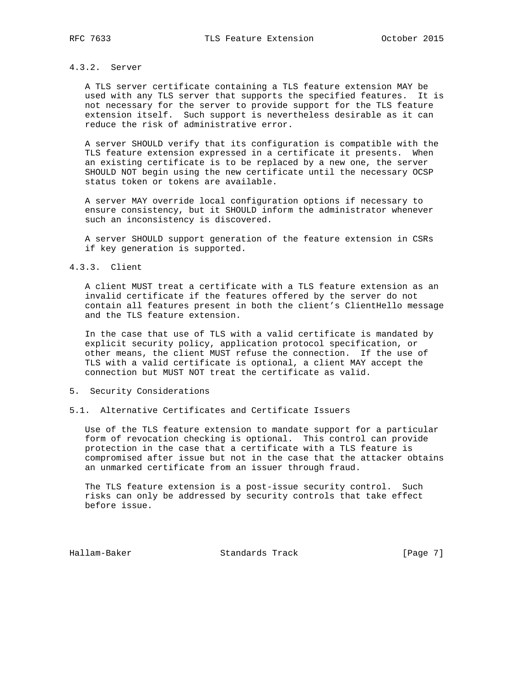# 4.3.2. Server

 A TLS server certificate containing a TLS feature extension MAY be used with any TLS server that supports the specified features. It is not necessary for the server to provide support for the TLS feature extension itself. Such support is nevertheless desirable as it can reduce the risk of administrative error.

 A server SHOULD verify that its configuration is compatible with the TLS feature extension expressed in a certificate it presents. When an existing certificate is to be replaced by a new one, the server SHOULD NOT begin using the new certificate until the necessary OCSP status token or tokens are available.

 A server MAY override local configuration options if necessary to ensure consistency, but it SHOULD inform the administrator whenever such an inconsistency is discovered.

 A server SHOULD support generation of the feature extension in CSRs if key generation is supported.

## 4.3.3. Client

 A client MUST treat a certificate with a TLS feature extension as an invalid certificate if the features offered by the server do not contain all features present in both the client's ClientHello message and the TLS feature extension.

 In the case that use of TLS with a valid certificate is mandated by explicit security policy, application protocol specification, or other means, the client MUST refuse the connection. If the use of TLS with a valid certificate is optional, a client MAY accept the connection but MUST NOT treat the certificate as valid.

## 5. Security Considerations

# 5.1. Alternative Certificates and Certificate Issuers

 Use of the TLS feature extension to mandate support for a particular form of revocation checking is optional. This control can provide protection in the case that a certificate with a TLS feature is compromised after issue but not in the case that the attacker obtains an unmarked certificate from an issuer through fraud.

 The TLS feature extension is a post-issue security control. Such risks can only be addressed by security controls that take effect before issue.

Hallam-Baker Standards Track [Page 7]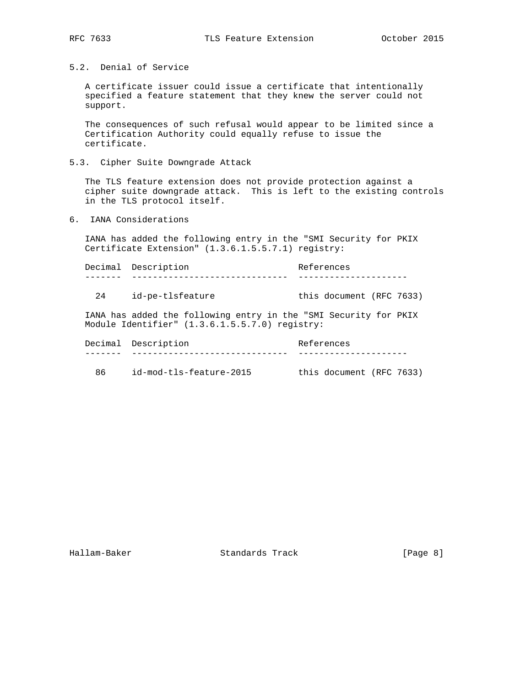5.2. Denial of Service

 A certificate issuer could issue a certificate that intentionally specified a feature statement that they knew the server could not support.

 The consequences of such refusal would appear to be limited since a Certification Authority could equally refuse to issue the certificate.

5.3. Cipher Suite Downgrade Attack

 The TLS feature extension does not provide protection against a cipher suite downgrade attack. This is left to the existing controls in the TLS protocol itself.

6. IANA Considerations

 IANA has added the following entry in the "SMI Security for PKIX Certificate Extension" (1.3.6.1.5.5.7.1) registry:

Decimal Description **References** ------- ------------------------------ ---------------------

24 id-pe-tlsfeature this document (RFC 7633)

 IANA has added the following entry in the "SMI Security for PKIX Module Identifier" (1.3.6.1.5.5.7.0) registry:

|    | Decimal Description     | References               |
|----|-------------------------|--------------------------|
|    |                         |                          |
| 86 | id-mod-tls-feature-2015 | this document (RFC 7633) |

Hallam-Baker Standards Track [Page 8]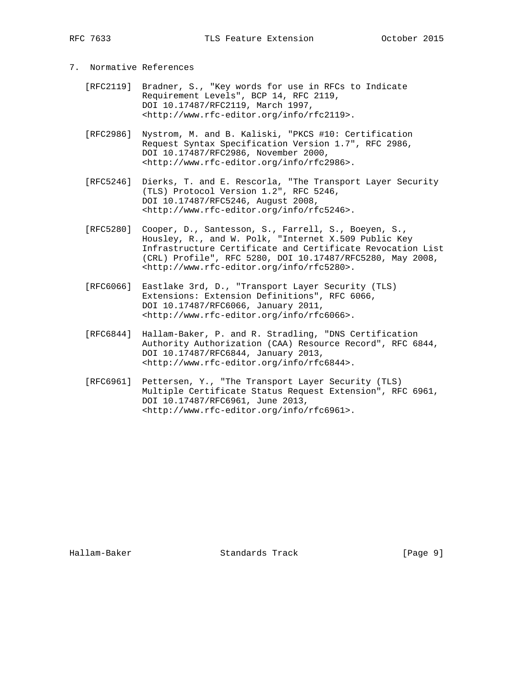- 7. Normative References
	- [RFC2119] Bradner, S., "Key words for use in RFCs to Indicate Requirement Levels", BCP 14, RFC 2119, DOI 10.17487/RFC2119, March 1997, <http://www.rfc-editor.org/info/rfc2119>.
	- [RFC2986] Nystrom, M. and B. Kaliski, "PKCS #10: Certification Request Syntax Specification Version 1.7", RFC 2986, DOI 10.17487/RFC2986, November 2000, <http://www.rfc-editor.org/info/rfc2986>.
	- [RFC5246] Dierks, T. and E. Rescorla, "The Transport Layer Security (TLS) Protocol Version 1.2", RFC 5246, DOI 10.17487/RFC5246, August 2008, <http://www.rfc-editor.org/info/rfc5246>.
	- [RFC5280] Cooper, D., Santesson, S., Farrell, S., Boeyen, S., Housley, R., and W. Polk, "Internet X.509 Public Key Infrastructure Certificate and Certificate Revocation List (CRL) Profile", RFC 5280, DOI 10.17487/RFC5280, May 2008, <http://www.rfc-editor.org/info/rfc5280>.
	- [RFC6066] Eastlake 3rd, D., "Transport Layer Security (TLS) Extensions: Extension Definitions", RFC 6066, DOI 10.17487/RFC6066, January 2011, <http://www.rfc-editor.org/info/rfc6066>.
	- [RFC6844] Hallam-Baker, P. and R. Stradling, "DNS Certification Authority Authorization (CAA) Resource Record", RFC 6844, DOI 10.17487/RFC6844, January 2013, <http://www.rfc-editor.org/info/rfc6844>.
	- [RFC6961] Pettersen, Y., "The Transport Layer Security (TLS) Multiple Certificate Status Request Extension", RFC 6961, DOI 10.17487/RFC6961, June 2013, <http://www.rfc-editor.org/info/rfc6961>.

Hallam-Baker Standards Track [Page 9]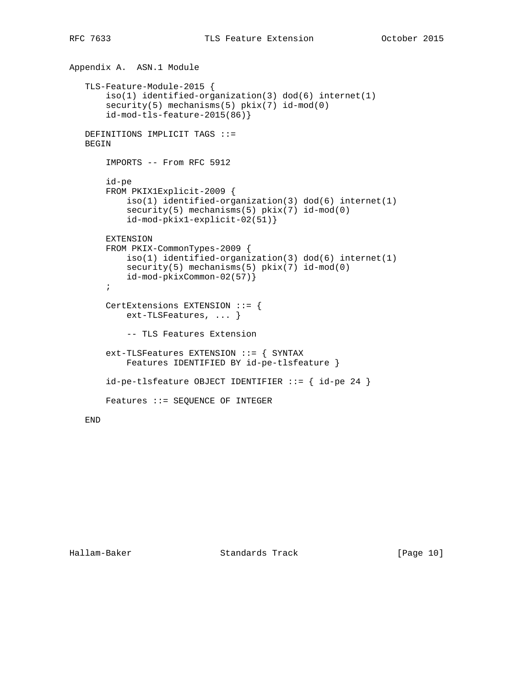```
Appendix A. ASN.1 Module
TLS-Feature-Module-2015 {
    iso(1) identified-organization(3) dod(6) internet(1)
   security(5) mechanisms(5) pkix(7) id-mod(0)
    id-mod-tls-feature-2015(86)}
DEFINITIONS IMPLICIT TAGS ::=
BEGIN
    IMPORTS -- From RFC 5912
    id-pe
    FROM PKIX1Explicit-2009 {
        iso(1) identified-organization(3) dod(6) internet(1)
        security(5) mechanisms(5) pkix(7) id-mod(0)
        id-mod-pkix1-explicit-02(51)}
    EXTENSION
    FROM PKIX-CommonTypes-2009 {
        iso(1) identified-organization(3) dod(6) internet(1)
        security(5) mechanisms(5) pkix(7) id-mod(0)
        id-mod-pkixCommon-02(57)}
    ;
    CertExtensions EXTENSION ::= {
        ext-TLSFeatures, ... }
        -- TLS Features Extension
    ext-TLSFeatures EXTENSION ::= { SYNTAX
        Features IDENTIFIED BY id-pe-tlsfeature }
   id-pe-tlsfeature OBJECT IDENTIFIER ::= { id-pe 24 }
    Features ::= SEQUENCE OF INTEGER
```
END

Hallam-Baker Standards Track [Page 10]